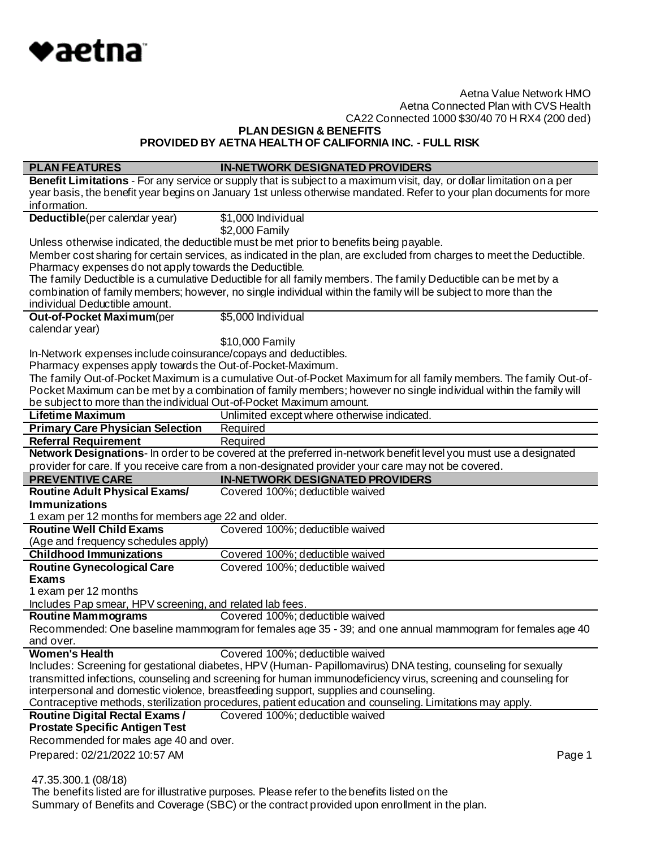

**PLAN DESIGN & BENEFITS**

**PROVIDED BY AETNA HEALTH OF CALIFORNIA INC. - FULL RISK**

| <b>PLAN FEATURES</b>                                                                                                                                                                                    | <b>IN-NETWORK DESIGNATED PROVIDERS</b>                                                                                 |  |
|---------------------------------------------------------------------------------------------------------------------------------------------------------------------------------------------------------|------------------------------------------------------------------------------------------------------------------------|--|
|                                                                                                                                                                                                         | Benefit Limitations - For any service or supply that is subject to a maximum visit, day, or dollar limitation on a per |  |
|                                                                                                                                                                                                         | year basis, the benefit year begins on January 1st unless otherwise mandated. Refer to your plan documents for more    |  |
| information.                                                                                                                                                                                            |                                                                                                                        |  |
| Deductible(per calendar year)                                                                                                                                                                           | \$1,000 Individual                                                                                                     |  |
|                                                                                                                                                                                                         | \$2,000 Family                                                                                                         |  |
|                                                                                                                                                                                                         | Unless otherwise indicated, the deductible must be met prior to benefits being payable.                                |  |
|                                                                                                                                                                                                         | Member cost sharing for certain services, as indicated in the plan, are excluded from charges to meet the Deductible.  |  |
| Pharmacy expenses do not apply towards the Deductible.                                                                                                                                                  |                                                                                                                        |  |
|                                                                                                                                                                                                         | The family Deductible is a cumulative Deductible for all family members. The family Deductible can be met by a         |  |
|                                                                                                                                                                                                         | combination of family members; however, no single individual within the family will be subject to more than the        |  |
| individual Deductible amount.                                                                                                                                                                           |                                                                                                                        |  |
| <b>Out-of-Pocket Maximum</b> (per                                                                                                                                                                       | \$5,000 Individual                                                                                                     |  |
| calendar year)                                                                                                                                                                                          |                                                                                                                        |  |
|                                                                                                                                                                                                         | \$10,000 Family                                                                                                        |  |
| In-Network expenses include coinsurance/copays and deductibles.                                                                                                                                         |                                                                                                                        |  |
| Pharmacy expenses apply towards the Out-of-Pocket-Maximum.                                                                                                                                              |                                                                                                                        |  |
|                                                                                                                                                                                                         | The family Out-of-Pocket Maximum is a cumulative Out-of-Pocket Maximum for all family members. The family Out-of-      |  |
| be subject to more than the individual Out-of-Pocket Maximum amount.                                                                                                                                    | Pocket Maximum can be met by a combination of family members; however no single individual within the family will      |  |
| <b>Lifetime Maximum</b>                                                                                                                                                                                 | Unlimited except where otherwise indicated.                                                                            |  |
| <b>Primary Care Physician Selection</b>                                                                                                                                                                 | Required                                                                                                               |  |
| <b>Referral Requirement</b>                                                                                                                                                                             | Required                                                                                                               |  |
|                                                                                                                                                                                                         | Network Designations- In order to be covered at the preferred in-network benefit level you must use a designated       |  |
|                                                                                                                                                                                                         | provider for care. If you receive care from a non-designated provider your care may not be covered.                    |  |
| <b>PREVENTIVE CARE</b>                                                                                                                                                                                  | <b>IN-NETWORK DESIGNATED PROVIDERS</b>                                                                                 |  |
| <b>Routine Adult Physical Exams/</b>                                                                                                                                                                    | Covered 100%; deductible waived                                                                                        |  |
| <b>Immunizations</b>                                                                                                                                                                                    |                                                                                                                        |  |
| 1 exam per 12 months for members age 22 and older.                                                                                                                                                      |                                                                                                                        |  |
| <b>Routine Well Child Exams</b>                                                                                                                                                                         | Covered 100%; deductible waived                                                                                        |  |
| (Age and frequency schedules apply)                                                                                                                                                                     |                                                                                                                        |  |
| <b>Childhood Immunizations</b>                                                                                                                                                                          | Covered 100%; deductible waived                                                                                        |  |
| <b>Routine Gynecological Care</b>                                                                                                                                                                       | Covered 100%; deductible waived                                                                                        |  |
| <b>Exams</b>                                                                                                                                                                                            |                                                                                                                        |  |
| 1 exam per 12 months                                                                                                                                                                                    |                                                                                                                        |  |
| Includes Pap smear, HPV screening, and related lab fees.                                                                                                                                                |                                                                                                                        |  |
| <b>Routine Mammograms</b>                                                                                                                                                                               | Covered 100%; deductible waived                                                                                        |  |
|                                                                                                                                                                                                         | Recommended: One baseline mammogram for females age 35 - 39; and one annual mammogram for females age 40               |  |
| and over.                                                                                                                                                                                               |                                                                                                                        |  |
| <b>Women's Health</b>                                                                                                                                                                                   | Covered 100%; deductible waived                                                                                        |  |
|                                                                                                                                                                                                         | Includes: Screening for gestational diabetes, HPV (Human-Papillomavirus) DNA testing, counseling for sexually          |  |
| transmitted infections, counseling and screening for human immunodeficiency virus, screening and counseling for<br>interpersonal and domestic violence, breastfeeding support, supplies and counseling. |                                                                                                                        |  |
|                                                                                                                                                                                                         | Contraceptive methods, sterilization procedures, patient education and counseling. Limitations may apply.              |  |
| <b>Routine Digital Rectal Exams /</b>                                                                                                                                                                   | Covered 100%; deductible waived                                                                                        |  |
| <b>Prostate Specific Antigen Test</b>                                                                                                                                                                   |                                                                                                                        |  |
| Recommended for males age 40 and over.                                                                                                                                                                  |                                                                                                                        |  |
|                                                                                                                                                                                                         |                                                                                                                        |  |
| Prepared: 02/21/2022 10:57 AM                                                                                                                                                                           | Page 1                                                                                                                 |  |
| 47.35.300.1 (08/18)                                                                                                                                                                                     |                                                                                                                        |  |
|                                                                                                                                                                                                         | The benefits listed are for illustrative purposes. Please refer to the benefits listed on the                          |  |
| Summary of Benefits and Coverage (SBC) or the contract provided upon enrollment in the plan.                                                                                                            |                                                                                                                        |  |
|                                                                                                                                                                                                         |                                                                                                                        |  |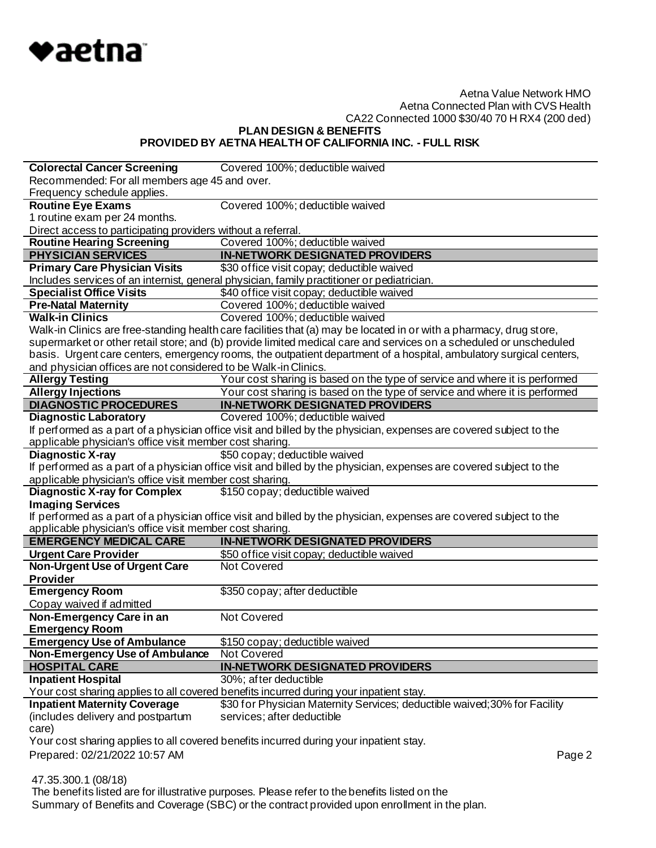

**PLAN DESIGN & BENEFITS**

**PROVIDED BY AETNA HEALTH OF CALIFORNIA INC. - FULL RISK**

| <b>Colorectal Cancer Screening</b>                              | Covered 100%; deductible waived                                                                                     |  |
|-----------------------------------------------------------------|---------------------------------------------------------------------------------------------------------------------|--|
| Recommended: For all members age 45 and over.                   |                                                                                                                     |  |
| Frequency schedule applies.                                     |                                                                                                                     |  |
| <b>Routine Eye Exams</b>                                        | Covered 100%; deductible waived                                                                                     |  |
| 1 routine exam per 24 months.                                   |                                                                                                                     |  |
| Direct access to participating providers without a referral.    |                                                                                                                     |  |
| <b>Routine Hearing Screening</b>                                | Covered 100%; deductible waived                                                                                     |  |
| <b>PHYSICIAN SERVICES</b>                                       | <b>IN-NETWORK DESIGNATED PROVIDERS</b>                                                                              |  |
| <b>Primary Care Physician Visits</b>                            | \$30 office visit copay; deductible waived                                                                          |  |
|                                                                 | Includes services of an internist, general physician, family practitioner or pediatrician.                          |  |
| <b>Specialist Office Visits</b>                                 | \$40 office visit copay; deductible waived                                                                          |  |
| <b>Pre-Natal Maternity</b>                                      | Covered 100%; deductible waived                                                                                     |  |
| <b>Walk-in Clinics</b>                                          | Covered 100%; deductible waived                                                                                     |  |
|                                                                 | Walk-in Clinics are free-standing health care facilities that (a) may be located in or with a pharmacy, drug store, |  |
|                                                                 | supermarket or other retail store; and (b) provide limited medical care and services on a scheduled or unscheduled  |  |
|                                                                 | basis. Urgent care centers, emergency rooms, the outpatient department of a hospital, ambulatory surgical centers,  |  |
| and physician offices are not considered to be Walk-in Clinics. |                                                                                                                     |  |
| <b>Allergy Testing</b>                                          | Your cost sharing is based on the type of service and where it is performed                                         |  |
| <b>Allergy Injections</b>                                       | Your cost sharing is based on the type of service and where it is performed                                         |  |
| <b>DIAGNOSTIC PROCEDURES</b>                                    | <b>IN-NETWORK DESIGNATED PROVIDERS</b>                                                                              |  |
| <b>Diagnostic Laboratory</b>                                    | Covered 100%; deductible waived                                                                                     |  |
|                                                                 | If performed as a part of a physician office visit and billed by the physician, expenses are covered subject to the |  |
| applicable physician's office visit member cost sharing.        |                                                                                                                     |  |
| <b>Diagnostic X-ray</b>                                         | \$50 copay; deductible waived                                                                                       |  |
|                                                                 | If performed as a part of a physician office visit and billed by the physician, expenses are covered subject to the |  |
| applicable physician's office visit member cost sharing.        |                                                                                                                     |  |
| <b>Diagnostic X-ray for Complex</b>                             | \$150 copay; deductible waived                                                                                      |  |
| <b>Imaging Services</b>                                         |                                                                                                                     |  |
|                                                                 | If performed as a part of a physician office visit and billed by the physician, expenses are covered subject to the |  |
| applicable physician's office visit member cost sharing.        |                                                                                                                     |  |
| <b>EMERGENCY MEDICAL CARE</b>                                   | <b>IN-NETWORK DESIGNATED PROVIDERS</b>                                                                              |  |
| <b>Urgent Care Provider</b>                                     | \$50 office visit copay; deductible waived                                                                          |  |
| <b>Non-Urgent Use of Urgent Care</b>                            | Not Covered                                                                                                         |  |
| <b>Provider</b>                                                 |                                                                                                                     |  |
| <b>Emergency Room</b>                                           | \$350 copay; after deductible                                                                                       |  |
| Copay waived if admitted                                        |                                                                                                                     |  |
| Non-Emergency Care in an                                        | Not Covered                                                                                                         |  |
| <b>Emergency Room</b>                                           |                                                                                                                     |  |
| <b>Emergency Use of Ambulance</b>                               | \$150 copay; deductible waived                                                                                      |  |
| Non-Emergency Use of Ambulance                                  | Not Covered                                                                                                         |  |
| <b>HOSPITAL CARE</b>                                            | <b>IN-NETWORK DESIGNATED PROVIDERS</b>                                                                              |  |
| <b>Inpatient Hospital</b>                                       | 30%; after deductible                                                                                               |  |
|                                                                 | Your cost sharing applies to all covered benefits incurred during your inpatient stay.                              |  |
| <b>Inpatient Maternity Coverage</b>                             | \$30 for Physician Maternity Services; deductible waived; 30% for Facility                                          |  |
| (includes delivery and postpartum                               | services; after deductible                                                                                          |  |
| care)                                                           |                                                                                                                     |  |
|                                                                 | Your cost sharing applies to all covered benefits incurred during your inpatient stay.                              |  |
| Prepared: 02/21/2022 10:57 AM                                   | Page 2                                                                                                              |  |
|                                                                 |                                                                                                                     |  |

47.35.300.1 (08/18)

 The benefits listed are for illustrative purposes. Please refer to the benefits listed on the Summary of Benefits and Coverage (SBC) or the contract provided upon enrollment in the plan.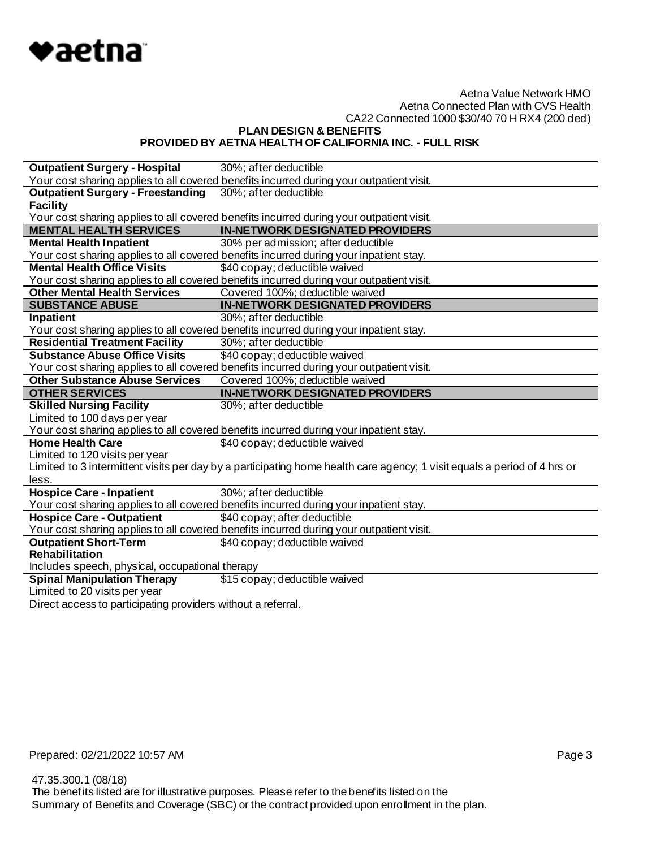

**PLAN DESIGN & BENEFITS**

### **PROVIDED BY AETNA HEALTH OF CALIFORNIA INC. - FULL RISK**

| <b>Outpatient Surgery - Hospital</b>            | 30%; after deductible                                                                                                    |
|-------------------------------------------------|--------------------------------------------------------------------------------------------------------------------------|
|                                                 | Your cost sharing applies to all covered benefits incurred during your outpatient visit.                                 |
| <b>Outpatient Surgery - Freestanding</b>        | 30%; after deductible                                                                                                    |
| <b>Facility</b>                                 |                                                                                                                          |
|                                                 | Your cost sharing applies to all covered benefits incurred during your outpatient visit.                                 |
| <b>MENTAL HEALTH SERVICES</b>                   | <b>IN-NETWORK DESIGNATED PROVIDERS</b>                                                                                   |
| <b>Mental Health Inpatient</b>                  | 30% per admission; after deductible                                                                                      |
|                                                 | Your cost sharing applies to all covered benefits incurred during your inpatient stay.                                   |
| <b>Mental Health Office Visits</b>              | \$40 copay; deductible waived                                                                                            |
|                                                 | Your cost sharing applies to all covered benefits incurred during your outpatient visit.                                 |
| <b>Other Mental Health Services</b>             | Covered 100%; deductible waived                                                                                          |
| <b>SUBSTANCE ABUSE</b>                          | <b>IN-NETWORK DESIGNATED PROVIDERS</b>                                                                                   |
| Inpatient                                       | 30%; after deductible                                                                                                    |
|                                                 | Your cost sharing applies to all covered benefits incurred during your inpatient stay.                                   |
| <b>Residential Treatment Facility</b>           | 30%; after deductible                                                                                                    |
| <b>Substance Abuse Office Visits</b>            | \$40 copay; deductible waived                                                                                            |
|                                                 | Your cost sharing applies to all covered benefits incurred during your outpatient visit.                                 |
| <b>Other Substance Abuse Services</b>           | Covered 100%; deductible waived                                                                                          |
|                                                 |                                                                                                                          |
| <b>OTHER SERVICES</b>                           | <b>IN-NETWORK DESIGNATED PROVIDERS</b>                                                                                   |
| <b>Skilled Nursing Facility</b>                 | 30%; after deductible                                                                                                    |
| Limited to 100 days per year                    |                                                                                                                          |
|                                                 | Your cost sharing applies to all covered benefits incurred during your inpatient stay.                                   |
| <b>Home Health Care</b>                         | \$40 copay; deductible waived                                                                                            |
| Limited to 120 visits per year                  |                                                                                                                          |
|                                                 | Limited to 3 intermittent visits per day by a participating home health care agency; 1 visit equals a period of 4 hrs or |
| less.                                           |                                                                                                                          |
| <b>Hospice Care - Inpatient</b>                 | 30%; after deductible                                                                                                    |
|                                                 | Your cost sharing applies to all covered benefits incurred during your inpatient stay.                                   |
| <b>Hospice Care - Outpatient</b>                | \$40 copay; after deductible                                                                                             |
|                                                 | Your cost sharing applies to all covered benefits incurred during your outpatient visit.                                 |
| <b>Outpatient Short-Term</b>                    | \$40 copay; deductible waived                                                                                            |
| <b>Rehabilitation</b>                           |                                                                                                                          |
| Includes speech, physical, occupational therapy |                                                                                                                          |
| <b>Spinal Manipulation Therapy</b>              | \$15 copay; deductible waived                                                                                            |
| Limited to 20 visits per year                   |                                                                                                                          |

Direct access to participating providers without a referral.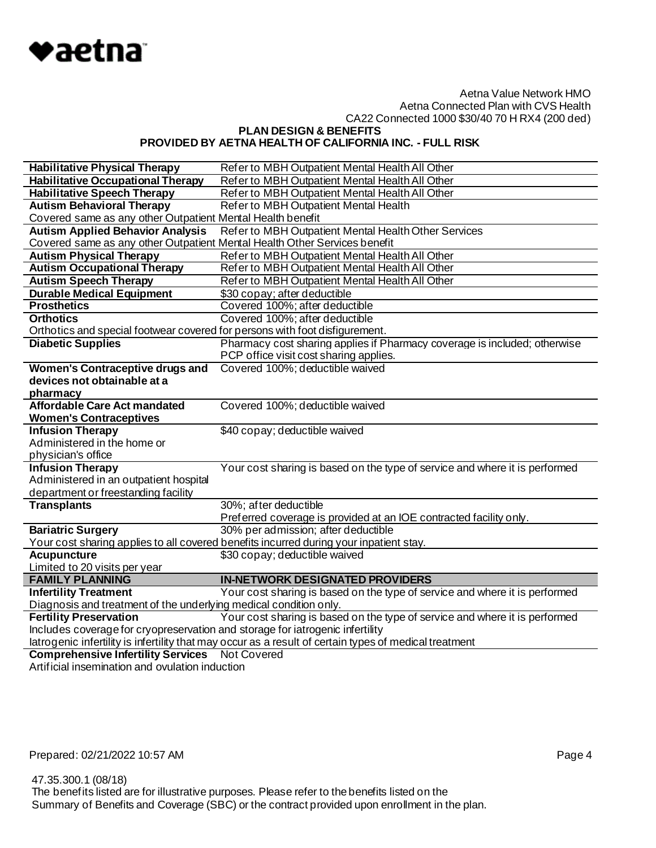

**PLAN DESIGN & BENEFITS PROVIDED BY AETNA HEALTH OF CALIFORNIA INC. - FULL RISK**

| <b>Habilitative Physical Therapy</b>                                                                   | Refer to MBH Outpatient Mental Health All Other                                             |  |
|--------------------------------------------------------------------------------------------------------|---------------------------------------------------------------------------------------------|--|
| <b>Habilitative Occupational Therapy</b>                                                               | Refer to MBH Outpatient Mental Health All Other                                             |  |
| <b>Habilitative Speech Therapy</b>                                                                     | Refer to MBH Outpatient Mental Health All Other                                             |  |
| <b>Autism Behavioral Therapy</b>                                                                       | Refer to MBH Outpatient Mental Health                                                       |  |
| Covered same as any other Outpatient Mental Health benefit                                             |                                                                                             |  |
| <b>Autism Applied Behavior Analysis</b>                                                                | Refer to MBH Outpatient Mental Health Other Services                                        |  |
| Covered same as any other Outpatient Mental Health Other Services benefit                              |                                                                                             |  |
| <b>Autism Physical Therapy</b>                                                                         | Refer to MBH Outpatient Mental Health All Other                                             |  |
| <b>Autism Occupational Therapy</b>                                                                     | Refer to MBH Outpatient Mental Health All Other                                             |  |
| <b>Autism Speech Therapy</b>                                                                           | Refer to MBH Outpatient Mental Health All Other                                             |  |
| <b>Durable Medical Equipment</b>                                                                       | \$30 copay; after deductible                                                                |  |
| <b>Prosthetics</b>                                                                                     | Covered 100%; after deductible                                                              |  |
| <b>Orthotics</b>                                                                                       | Covered 100%; after deductible                                                              |  |
| Orthotics and special footwear covered for persons with foot disfigurement.                            |                                                                                             |  |
| <b>Diabetic Supplies</b>                                                                               | Pharmacy cost sharing applies if Pharmacy coverage is included; otherwise                   |  |
|                                                                                                        | PCP office visit cost sharing applies.                                                      |  |
| <b>Women's Contraceptive drugs and</b>                                                                 | Covered 100%; deductible waived                                                             |  |
| devices not obtainable at a                                                                            |                                                                                             |  |
| pharmacy                                                                                               |                                                                                             |  |
| <b>Affordable Care Act mandated</b>                                                                    | Covered 100%; deductible waived                                                             |  |
| <b>Women's Contraceptives</b>                                                                          |                                                                                             |  |
| <b>Infusion Therapy</b>                                                                                | \$40 copay; deductible waived                                                               |  |
| Administered in the home or                                                                            |                                                                                             |  |
| physician's office                                                                                     |                                                                                             |  |
| <b>Infusion Therapy</b><br>Administered in an outpatient hospital                                      | Your cost sharing is based on the type of service and where it is performed                 |  |
|                                                                                                        |                                                                                             |  |
| department or freestanding facility                                                                    |                                                                                             |  |
| <b>Transplants</b>                                                                                     | 30%; after deductible<br>Preferred coverage is provided at an IOE contracted facility only. |  |
| <b>Bariatric Surgery</b>                                                                               | 30% per admission; after deductible                                                         |  |
|                                                                                                        | Your cost sharing applies to all covered benefits incurred during your inpatient stay.      |  |
| <b>Acupuncture</b>                                                                                     | \$30 copay; deductible waived                                                               |  |
| Limited to 20 visits per year                                                                          |                                                                                             |  |
| <b>FAMILY PLANNING</b>                                                                                 | <b>IN-NETWORK DESIGNATED PROVIDERS</b>                                                      |  |
| <b>Infertility Treatment</b>                                                                           | Your cost sharing is based on the type of service and where it is performed                 |  |
| Diagnosis and treatment of the underlying medical condition only.                                      |                                                                                             |  |
| <b>Fertility Preservation</b>                                                                          | Your cost sharing is based on the type of service and where it is performed                 |  |
| Includes coverage for cryopreservation and storage for iatrogenic infertility                          |                                                                                             |  |
| latrogenic infertility is infertility that may occur as a result of certain types of medical treatment |                                                                                             |  |
| <b>Comprehensive Infertility Services</b> Not Covered                                                  |                                                                                             |  |
|                                                                                                        |                                                                                             |  |

Artificial insemination and ovulation induction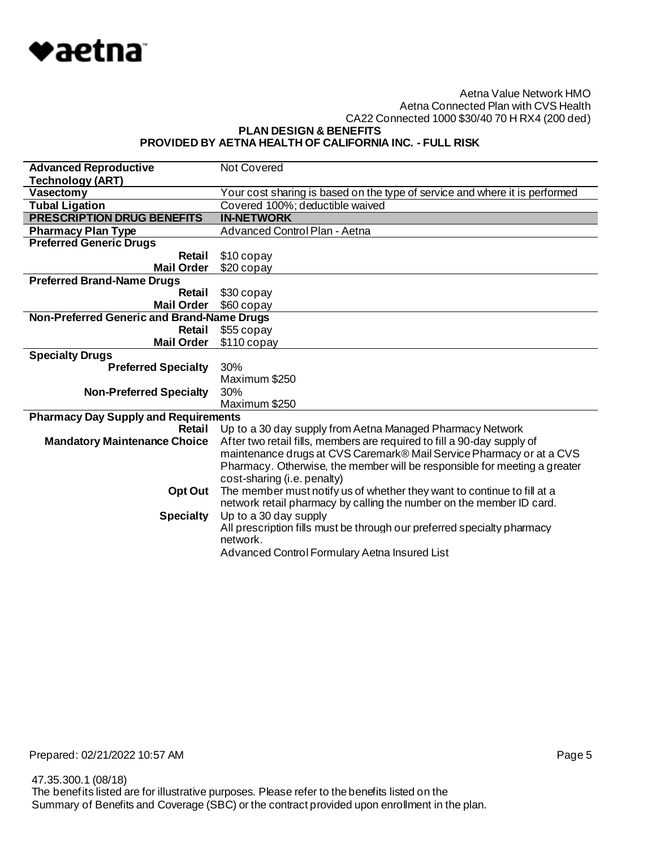

**PLAN DESIGN & BENEFITS**

### **PROVIDED BY AETNA HEALTH OF CALIFORNIA INC. - FULL RISK**

| <b>Advanced Reproductive</b>                | <b>Not Covered</b>                                                          |
|---------------------------------------------|-----------------------------------------------------------------------------|
| <b>Technology (ART)</b>                     |                                                                             |
| Vasectomy                                   | Your cost sharing is based on the type of service and where it is performed |
| <b>Tubal Ligation</b>                       | Covered 100%; deductible waived                                             |
| <b>PRESCRIPTION DRUG BENEFITS</b>           | <b>IN-NETWORK</b>                                                           |
| <b>Pharmacy Plan Type</b>                   | <b>Advanced Control Plan - Aetna</b>                                        |
| <b>Preferred Generic Drugs</b>              |                                                                             |
| Retail                                      | \$10 copay                                                                  |
| <b>Mail Order</b>                           | \$20 copay                                                                  |
| <b>Preferred Brand-Name Drugs</b>           |                                                                             |
| Retail                                      | \$30 copay                                                                  |
| <b>Mail Order</b>                           | \$60 copay                                                                  |
| Non-Preferred Generic and Brand-Name Drugs  |                                                                             |
| Retail                                      | \$55 copay                                                                  |
| <b>Mail Order</b>                           | $$110$ copay                                                                |
| <b>Specialty Drugs</b>                      |                                                                             |
| <b>Preferred Specialty</b>                  | 30%                                                                         |
|                                             | Maximum \$250                                                               |
| <b>Non-Preferred Specialty</b>              | 30%                                                                         |
|                                             | Maximum \$250                                                               |
| <b>Pharmacy Day Supply and Requirements</b> |                                                                             |
| Retail                                      | Up to a 30 day supply from Aetna Managed Pharmacy Network                   |
| <b>Mandatory Maintenance Choice</b>         | After two retail fills, members are required to fill a 90-day supply of     |
|                                             | maintenance drugs at CVS Caremark® Mail Service Pharmacy or at a CVS        |
|                                             | Pharmacy. Otherwise, the member will be responsible for meeting a greater   |
|                                             | cost-sharing (i.e. penalty)                                                 |
| Opt Out                                     | The member must notify us of whether they want to continue to fill at a     |
|                                             | network retail pharmacy by calling the number on the member ID card.        |
| <b>Specialty</b>                            | Up to a 30 day supply                                                       |
|                                             | All prescription fills must be through our preferred specialty pharmacy     |
|                                             | network.                                                                    |
|                                             | Advanced Control Formulary Aetna Insured List                               |
|                                             |                                                                             |

Prepared: 02/21/2022 10:57 AM **Page 5**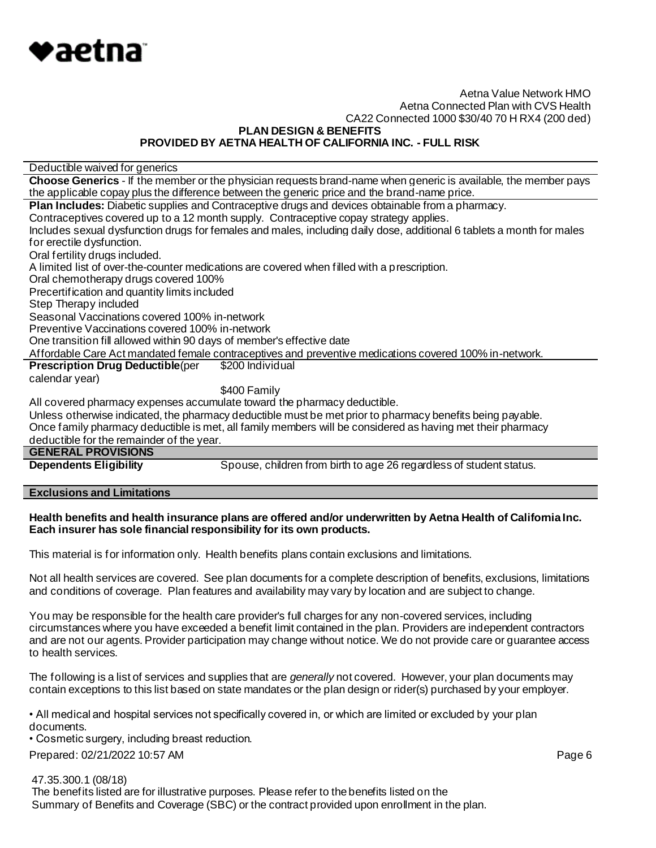

**PLAN DESIGN & BENEFITS**

#### **PROVIDED BY AETNA HEALTH OF CALIFORNIA INC. - FULL RISK**

Deductible waived for generics

**Choose Generics** - If the member or the physician requests brand-name when generic is available, the member pays the applicable copay plus the difference between the generic price and the brand-name price.

**Plan Includes:** Diabetic supplies and Contraceptive drugs and devices obtainable from a pharmacy.

Contraceptives covered up to a 12 month supply. Contraceptive copay strategy applies.

Includes sexual dysfunction drugs for females and males, including daily dose, additional 6 tablets a month for males for erectile dysfunction.

Oral fertility drugs included.

A limited list of over-the-counter medications are covered when filled with a prescription.

Oral chemotherapy drugs covered 100%

Precertification and quantity limits included

Step Therapy included

Seasonal Vaccinations covered 100% in-network

Preventive Vaccinations covered 100% in-network

One transition fill allowed within 90 days of member's effective date

Affordable Care Act mandated female contraceptives and preventive medications covered 100% in-network.

**Prescription Drug Deductible**(per \$200 Individual

calendar year)

#### \$400 Family

All covered pharmacy expenses accumulate toward the pharmacy deductible.

Unless otherwise indicated, the pharmacy deductible must be met prior to pharmacy benefits being payable.

Once family pharmacy deductible is met, all family members will be considered as having met their pharmacy

# deductible for the remainder of the year.

**GENERAL PROVISIONS**

**Dependents Eligibility** Spouse, children from birth to age 26 regardless of student status.

**Exclusions and Limitations**

#### **Health benefits and health insurance plans are offered and/or underwritten by Aetna Health of California Inc. Each insurer has sole financial responsibility for its own products.**

This material is for information only. Health benefits plans contain exclusions and limitations.

Not all health services are covered. See plan documents for a complete description of benefits, exclusions, limitations and conditions of coverage. Plan features and availability may vary by location and are subject to change.

You may be responsible for the health care provider's full charges for any non-covered services, including circumstances where you have exceeded a benefit limit contained in the plan. Providers are independent contractors and are not our agents. Provider participation may change without notice. We do not provide care or guarantee access to health services.

The following is a list of services and supplies that are *generally* not covered. However, your plan documents may contain exceptions to this list based on state mandates or the plan design or rider(s) purchased by your employer.

• All medical and hospital services not specifically covered in, or which are limited or excluded by your plan documents.

• Cosmetic surgery, including breast reduction.

Prepared: 02/21/2022 10:57 AM **Page 6** 

47.35.300.1 (08/18)

 The benefits listed are for illustrative purposes. Please refer to the benefits listed on the Summary of Benefits and Coverage (SBC) or the contract provided upon enrollment in the plan.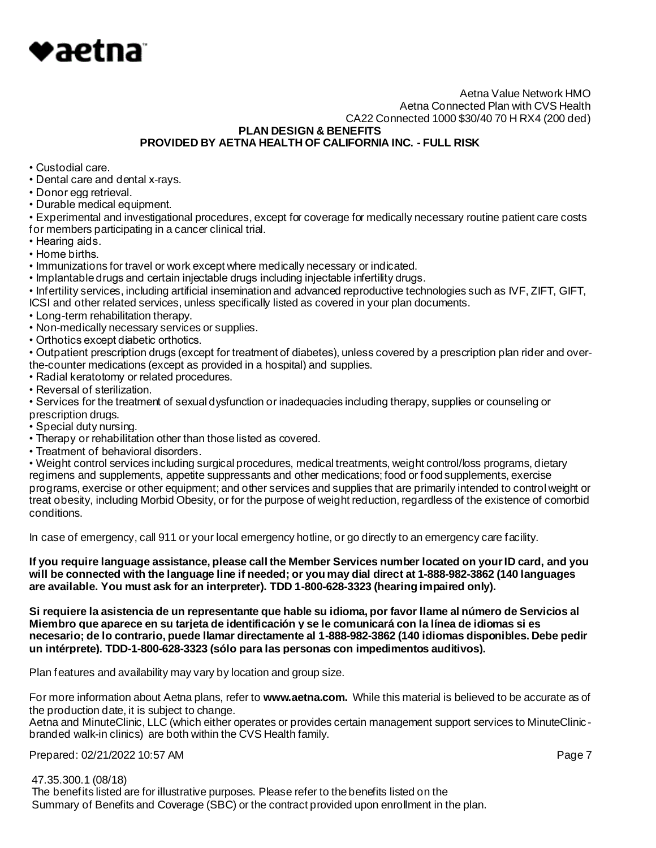

**PLAN DESIGN & BENEFITS**

**PROVIDED BY AETNA HEALTH OF CALIFORNIA INC. - FULL RISK**

- Custodial care.
- Dental care and dental x-rays.
- Donor egg retrieval.
- Durable medical equipment.

• Experimental and investigational procedures, except for coverage for medically necessary routine patient care costs for members participating in a cancer clinical trial.

- Hearing aids.
- Home births.
- Immunizations for travel or work except where medically necessary or indicated.
- Implantable drugs and certain injectable drugs including injectable infertility drugs.

• Infertility services, including artificial insemination and advanced reproductive technologies such as IVF, ZIFT, GIFT, ICSI and other related services, unless specifically listed as covered in your plan documents.

- Long-term rehabilitation therapy.
- Non-medically necessary services or supplies.
- Orthotics except diabetic orthotics.

• Outpatient prescription drugs (except for treatment of diabetes), unless covered by a prescription plan rider and overthe-counter medications (except as provided in a hospital) and supplies.

- Radial keratotomy or related procedures.
- Reversal of sterilization.

• Services for the treatment of sexual dysfunction or inadequacies including therapy, supplies or counseling or prescription drugs.

- Special duty nursing.
- Therapy or rehabilitation other than those listed as covered.
- Treatment of behavioral disorders.

• Weight control services including surgical procedures, medical treatments, weight control/loss programs, dietary regimens and supplements, appetite suppressants and other medications; food or food supplements, exercise programs, exercise or other equipment; and other services and supplies that are primarily intended to control weight or treat obesity, including Morbid Obesity, or for the purpose of weight reduction, regardless of the existence of comorbid conditions.

In case of emergency, call 911 or your local emergency hotline, or go directly to an emergency care facility.

**If you require language assistance, please call the Member Services number located on your ID card, and you will be connected with the language line if needed; or you may dial direct at 1-888-982-3862 (140 languages are available. You must ask for an interpreter). TDD 1-800-628-3323 (hearing impaired only).**

**Si requiere la asistencia de un representante que hable su idioma, por favor llame al número de Servicios al Miembro que aparece en su tarjeta de identificación y se le comunicará con la línea de idiomas si es necesario; de lo contrario, puede llamar directamente al 1-888-982-3862 (140 idiomas disponibles. Debe pedir un intérprete). TDD-1-800-628-3323 (sólo para las personas con impedimentos auditivos).**

Plan features and availability may vary by location and group size.

For more information about Aetna plans, refer to **www.aetna.com.** While this material is believed to be accurate as of the production date, it is subject to change.

Aetna and MinuteClinic, LLC (which either operates or provides certain management support services to MinuteClinic branded walk-in clinics) are both within the CVS Health family.

Prepared: 02/21/2022 10:57 AM **Page 7** 

 47.35.300.1 (08/18) The benefits listed are for illustrative purposes. Please refer to the benefits listed on the Summary of Benefits and Coverage (SBC) or the contract provided upon enrollment in the plan.